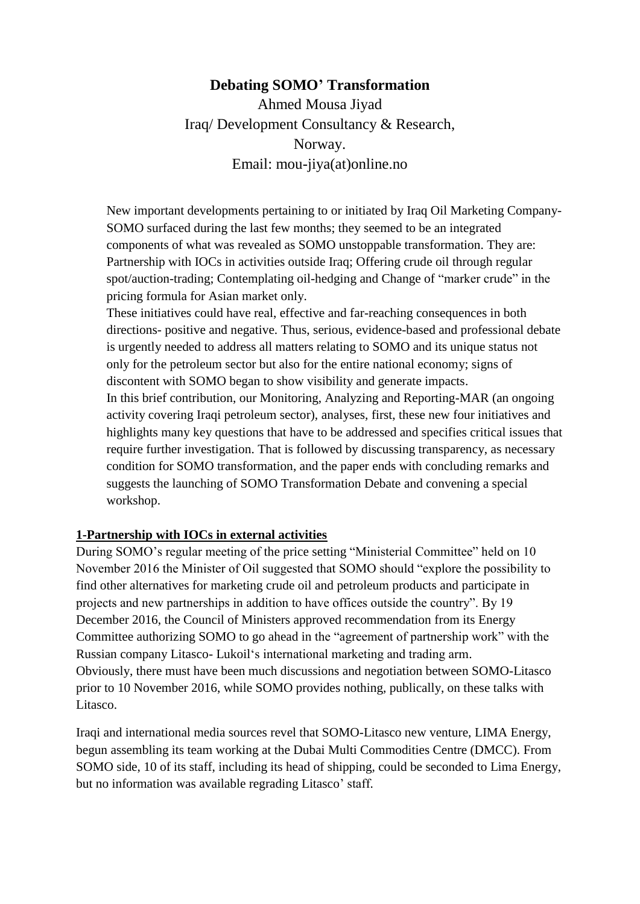# **Debating SOMO' Transformation**

Ahmed Mousa Jiyad Iraq/ Development Consultancy & Research, Norway. Email: mou-jiya(at)online.no

New important developments pertaining to or initiated by Iraq Oil Marketing Company-SOMO surfaced during the last few months; they seemed to be an integrated components of what was revealed as SOMO unstoppable transformation. They are: Partnership with IOCs in activities outside Iraq; Offering crude oil through regular spot/auction-trading; Contemplating oil-hedging and Change of "marker crude" in the pricing formula for Asian market only.

These initiatives could have real, effective and far-reaching consequences in both directions- positive and negative. Thus, serious, evidence-based and professional debate is urgently needed to address all matters relating to SOMO and its unique status not only for the petroleum sector but also for the entire national economy; signs of discontent with SOMO began to show visibility and generate impacts. In this brief contribution, our Monitoring, Analyzing and Reporting-MAR (an ongoing activity covering Iraqi petroleum sector), analyses, first, these new four initiatives and highlights many key questions that have to be addressed and specifies critical issues that require further investigation. That is followed by discussing transparency, as necessary condition for SOMO transformation, and the paper ends with concluding remarks and suggests the launching of SOMO Transformation Debate and convening a special workshop.

#### **1-Partnership with IOCs in external activities**

During SOMO's regular meeting of the price setting "Ministerial Committee" held on 10 November 2016 the Minister of Oil suggested that SOMO should "explore the possibility to find other alternatives for marketing crude oil and petroleum products and participate in projects and new partnerships in addition to have offices outside the country". By 19 December 2016, the Council of Ministers approved recommendation from its Energy Committee authorizing SOMO to go ahead in the "agreement of partnership work" with the Russian company Litasco- Lukoil's international marketing and trading arm. Obviously, there must have been much discussions and negotiation between SOMO-Litasco prior to 10 November 2016, while SOMO provides nothing, publically, on these talks with Litasco.

Iraqi and international media sources revel that SOMO-Litasco new venture, LIMA Energy, begun assembling its team working at the Dubai Multi Commodities Centre (DMCC). From SOMO side, 10 of its staff, including its head of shipping, could be seconded to Lima Energy, but no information was available regrading Litasco' staff.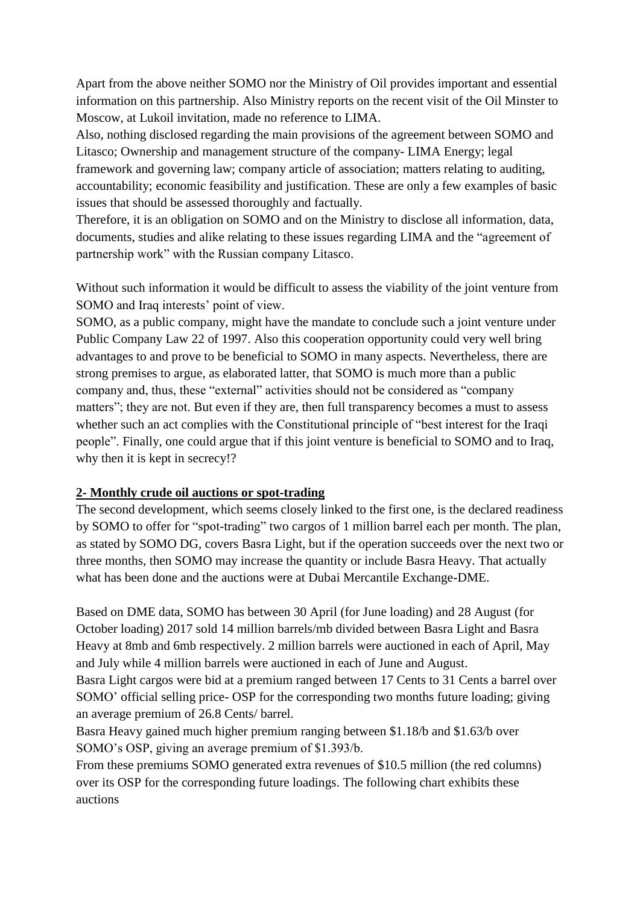Apart from the above neither SOMO nor the Ministry of Oil provides important and essential information on this partnership. Also Ministry reports on the recent visit of the Oil Minster to Moscow, at Lukoil invitation, made no reference to LIMA.

Also, nothing disclosed regarding the main provisions of the agreement between SOMO and Litasco; Ownership and management structure of the company- LIMA Energy; legal framework and governing law; company article of association; matters relating to auditing, accountability; economic feasibility and justification. These are only a few examples of basic issues that should be assessed thoroughly and factually.

Therefore, it is an obligation on SOMO and on the Ministry to disclose all information, data, documents, studies and alike relating to these issues regarding LIMA and the "agreement of partnership work" with the Russian company Litasco.

Without such information it would be difficult to assess the viability of the joint venture from SOMO and Iraq interests' point of view.

SOMO, as a public company, might have the mandate to conclude such a joint venture under Public Company Law 22 of 1997. Also this cooperation opportunity could very well bring advantages to and prove to be beneficial to SOMO in many aspects. Nevertheless, there are strong premises to argue, as elaborated latter, that SOMO is much more than a public company and, thus, these "external" activities should not be considered as "company matters"; they are not. But even if they are, then full transparency becomes a must to assess whether such an act complies with the Constitutional principle of "best interest for the Iraqi people". Finally, one could argue that if this joint venture is beneficial to SOMO and to Iraq, why then it is kept in secrecy!?

## **2- Monthly crude oil auctions or spot-trading**

The second development, which seems closely linked to the first one, is the declared readiness by SOMO to offer for "spot-trading" two cargos of 1 million barrel each per month. The plan, as stated by SOMO DG, covers Basra Light, but if the operation succeeds over the next two or three months, then SOMO may increase the quantity or include Basra Heavy. That actually what has been done and the auctions were at Dubai Mercantile Exchange-DME.

Based on DME data, SOMO has between 30 April (for June loading) and 28 August (for October loading) 2017 sold 14 million barrels/mb divided between Basra Light and Basra Heavy at 8mb and 6mb respectively. 2 million barrels were auctioned in each of April, May and July while 4 million barrels were auctioned in each of June and August.

Basra Light cargos were bid at a premium ranged between 17 Cents to 31 Cents a barrel over SOMO' official selling price- OSP for the corresponding two months future loading; giving an average premium of 26.8 Cents/ barrel.

Basra Heavy gained much higher premium ranging between \$1.18/b and \$1.63/b over SOMO's OSP, giving an average premium of \$1.393/b.

From these premiums SOMO generated extra revenues of \$10.5 million (the red columns) over its OSP for the corresponding future loadings. The following chart exhibits these auctions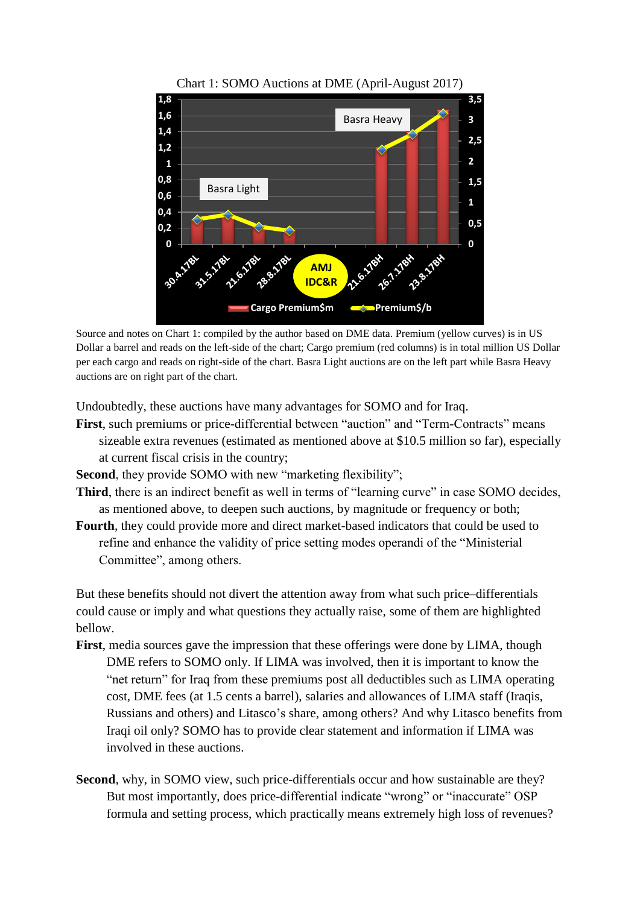



Source and notes on Chart 1: compiled by the author based on DME data. Premium (yellow curves) is in US Dollar a barrel and reads on the left-side of the chart; Cargo premium (red columns) is in total million US Dollar per each cargo and reads on right-side of the chart. Basra Light auctions are on the left part while Basra Heavy auctions are on right part of the chart.

Undoubtedly, these auctions have many advantages for SOMO and for Iraq.

**First**, such premiums or price-differential between "auction" and "Term-Contracts" means sizeable extra revenues (estimated as mentioned above at \$10.5 million so far), especially at current fiscal crisis in the country;

**Second**, they provide SOMO with new "marketing flexibility";

- Third, there is an indirect benefit as well in terms of "learning curve" in case SOMO decides, as mentioned above, to deepen such auctions, by magnitude or frequency or both;
- **Fourth**, they could provide more and direct market-based indicators that could be used to refine and enhance the validity of price setting modes operandi of the "Ministerial Committee", among others.

But these benefits should not divert the attention away from what such price–differentials could cause or imply and what questions they actually raise, some of them are highlighted bellow.

- **First**, media sources gave the impression that these offerings were done by LIMA, though DME refers to SOMO only. If LIMA was involved, then it is important to know the "net return" for Iraq from these premiums post all deductibles such as LIMA operating cost, DME fees (at 1.5 cents a barrel), salaries and allowances of LIMA staff (Iraqis, Russians and others) and Litasco's share, among others? And why Litasco benefits from Iraqi oil only? SOMO has to provide clear statement and information if LIMA was involved in these auctions.
- **Second**, why, in SOMO view, such price-differentials occur and how sustainable are they? But most importantly, does price-differential indicate "wrong" or "inaccurate" OSP formula and setting process, which practically means extremely high loss of revenues?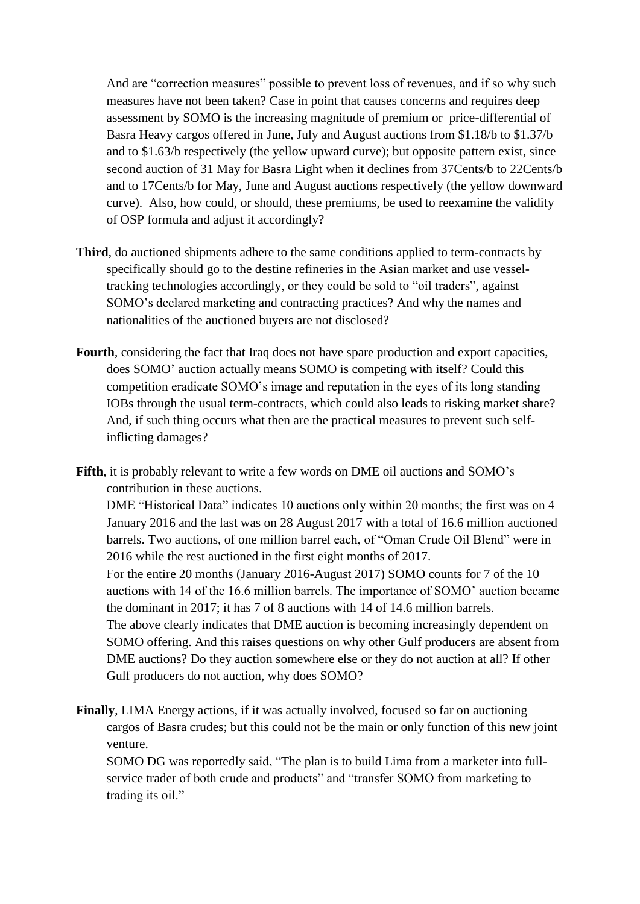And are "correction measures" possible to prevent loss of revenues, and if so why such measures have not been taken? Case in point that causes concerns and requires deep assessment by SOMO is the increasing magnitude of premium or price-differential of Basra Heavy cargos offered in June, July and August auctions from \$1.18/b to \$1.37/b and to \$1.63/b respectively (the yellow upward curve); but opposite pattern exist, since second auction of 31 May for Basra Light when it declines from 37Cents/b to 22Cents/b and to 17Cents/b for May, June and August auctions respectively (the yellow downward curve). Also, how could, or should, these premiums, be used to reexamine the validity of OSP formula and adjust it accordingly?

- **Third**, do auctioned shipments adhere to the same conditions applied to term-contracts by specifically should go to the destine refineries in the Asian market and use vesseltracking technologies accordingly, or they could be sold to "oil traders", against SOMO's declared marketing and contracting practices? And why the names and nationalities of the auctioned buyers are not disclosed?
- **Fourth**, considering the fact that Iraq does not have spare production and export capacities, does SOMO' auction actually means SOMO is competing with itself? Could this competition eradicate SOMO's image and reputation in the eyes of its long standing IOBs through the usual term-contracts, which could also leads to risking market share? And, if such thing occurs what then are the practical measures to prevent such selfinflicting damages?
- **Fifth**, it is probably relevant to write a few words on DME oil auctions and SOMO's contribution in these auctions.

DME "Historical Data" indicates 10 auctions only within 20 months; the first was on 4 January 2016 and the last was on 28 August 2017 with a total of 16.6 million auctioned barrels. Two auctions, of one million barrel each, of "Oman Crude Oil Blend" were in 2016 while the rest auctioned in the first eight months of 2017.

For the entire 20 months (January 2016-August 2017) SOMO counts for 7 of the 10 auctions with 14 of the 16.6 million barrels. The importance of SOMO' auction became the dominant in 2017; it has 7 of 8 auctions with 14 of 14.6 million barrels. The above clearly indicates that DME auction is becoming increasingly dependent on SOMO offering. And this raises questions on why other Gulf producers are absent from DME auctions? Do they auction somewhere else or they do not auction at all? If other Gulf producers do not auction, why does SOMO?

**Finally**, LIMA Energy actions, if it was actually involved, focused so far on auctioning cargos of Basra crudes; but this could not be the main or only function of this new joint venture.

SOMO DG was reportedly said, "The plan is to build Lima from a marketer into fullservice trader of both crude and products" and "transfer SOMO from marketing to trading its oil."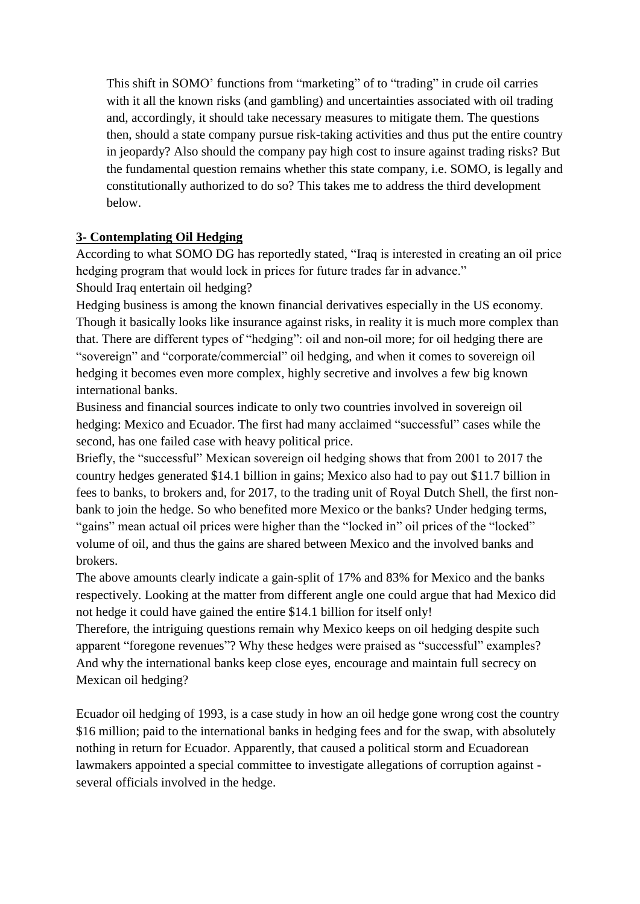This shift in SOMO' functions from "marketing" of to "trading" in crude oil carries with it all the known risks (and gambling) and uncertainties associated with oil trading and, accordingly, it should take necessary measures to mitigate them. The questions then, should a state company pursue risk-taking activities and thus put the entire country in jeopardy? Also should the company pay high cost to insure against trading risks? But the fundamental question remains whether this state company, i.e. SOMO, is legally and constitutionally authorized to do so? This takes me to address the third development below.

## **3- Contemplating Oil Hedging**

According to what SOMO DG has reportedly stated, "Iraq is interested in creating an oil price hedging program that would lock in prices for future trades far in advance." Should Iraq entertain oil hedging?

Hedging business is among the known financial derivatives especially in the US economy. Though it basically looks like insurance against risks, in reality it is much more complex than that. There are different types of "hedging": oil and non-oil more; for oil hedging there are "sovereign" and "corporate/commercial" oil hedging, and when it comes to sovereign oil hedging it becomes even more complex, highly secretive and involves a few big known international banks.

Business and financial sources indicate to only two countries involved in sovereign oil hedging: Mexico and Ecuador. The first had many acclaimed "successful" cases while the second, has one failed case with heavy political price.

Briefly, the "successful" Mexican sovereign oil hedging shows that from 2001 to 2017 the country hedges generated \$14.1 billion in gains; Mexico also had to pay out \$11.7 billion in fees to banks, to brokers and, for 2017, to the trading unit of Royal Dutch Shell, the first nonbank to join the hedge. So who benefited more Mexico or the banks? Under hedging terms, "gains" mean actual oil prices were higher than the "locked in" oil prices of the "locked" volume of oil, and thus the gains are shared between Mexico and the involved banks and brokers.

The above amounts clearly indicate a gain-split of 17% and 83% for Mexico and the banks respectively. Looking at the matter from different angle one could argue that had Mexico did not hedge it could have gained the entire \$14.1 billion for itself only!

Therefore, the intriguing questions remain why Mexico keeps on oil hedging despite such apparent "foregone revenues"? Why these hedges were praised as "successful" examples? And why the international banks keep close eyes, encourage and maintain full secrecy on Mexican oil hedging?

Ecuador oil hedging of 1993, is a case study in how an oil hedge gone wrong cost the country \$16 million; paid to the international banks in hedging fees and for the swap, with absolutely nothing in return for Ecuador. Apparently, that caused a political storm and Ecuadorean lawmakers appointed a special committee to investigate allegations of corruption against several officials involved in the hedge.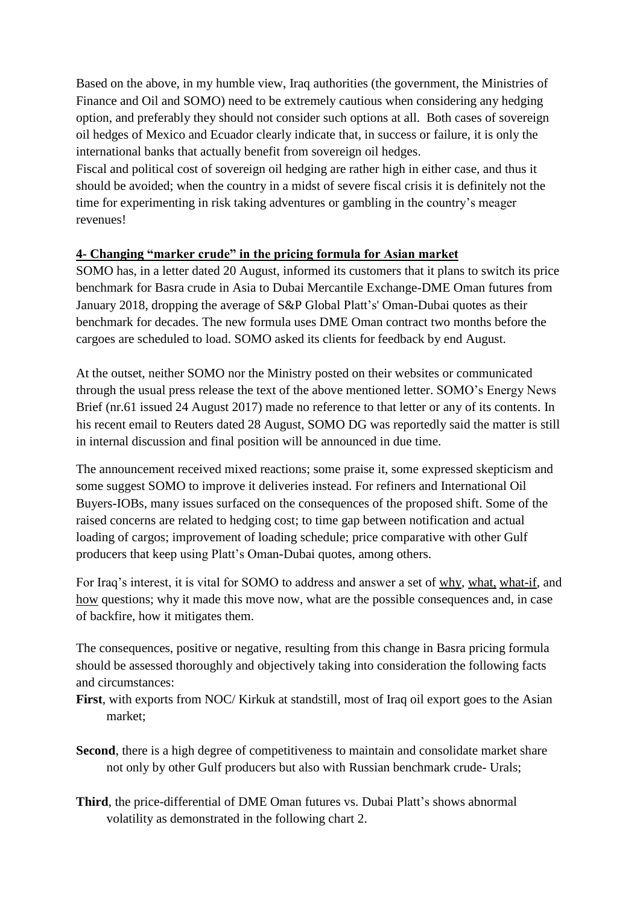Based on the above, in my humble view, Iraq authorities (the government, the Ministries of Finance and Oil and SOMO) need to be extremely cautious when considering any hedging option, and preferably they should not consider such options at all. Both cases of sovereign oil hedges of Mexico and Ecuador clearly indicate that, in success or failure, it is only the international banks that actually benefit from sovereign oil hedges.

Fiscal and political cost of sovereign oil hedging are rather high in either case, and thus it should be avoided; when the country in a midst of severe fiscal crisis it is definitely not the time for experimenting in risk taking adventures or gambling in the country's meager revenues!

### **4- Changing "marker crude" in the pricing formula for Asian market**

SOMO has, in a letter dated 20 August, informed its customers that it plans to switch its price benchmark for Basra crude in Asia to Dubai Mercantile Exchange-DME Oman futures from January 2018, dropping the average of S&P Global Platt's' Oman-Dubai quotes as their benchmark for decades. The new formula uses DME Oman contract two months before the cargoes are scheduled to load. SOMO asked its clients for feedback by end August.

At the outset, neither SOMO nor the Ministry posted on their websites or communicated through the usual press release the text of the above mentioned letter. SOMO's Energy News Brief (nr.61 issued 24 August 2017) made no reference to that letter or any of its contents. In his recent email to Reuters dated 28 August, SOMO DG was reportedly said the matter is still in internal discussion and final position will be announced in due time.

The announcement received mixed reactions; some praise it, some expressed skepticism and some suggest SOMO to improve it deliveries instead. For refiners and International Oil Buyers-IOBs, many issues surfaced on the consequences of the proposed shift. Some of the raised concerns are related to hedging cost; to time gap between notification and actual loading of cargos; improvement of loading schedule; price comparative with other Gulf producers that keep using Platt's Oman-Dubai quotes, among others.

For Iraq's interest, it is vital for SOMO to address and answer a set of why, what, what-if, and how questions; why it made this move now, what are the possible consequences and, in case of backfire, how it mitigates them.

The consequences, positive or negative, resulting from this change in Basra pricing formula should be assessed thoroughly and objectively taking into consideration the following facts and circumstances:

- **First**, with exports from NOC/ Kirkuk at standstill, most of Iraq oil export goes to the Asian market;
- Second, there is a high degree of competitiveness to maintain and consolidate market share not only by other Gulf producers but also with Russian benchmark crude- Urals;
- **Third**, the price-differential of DME Oman futures vs. Dubai Platt's shows abnormal volatility as demonstrated in the following chart 2.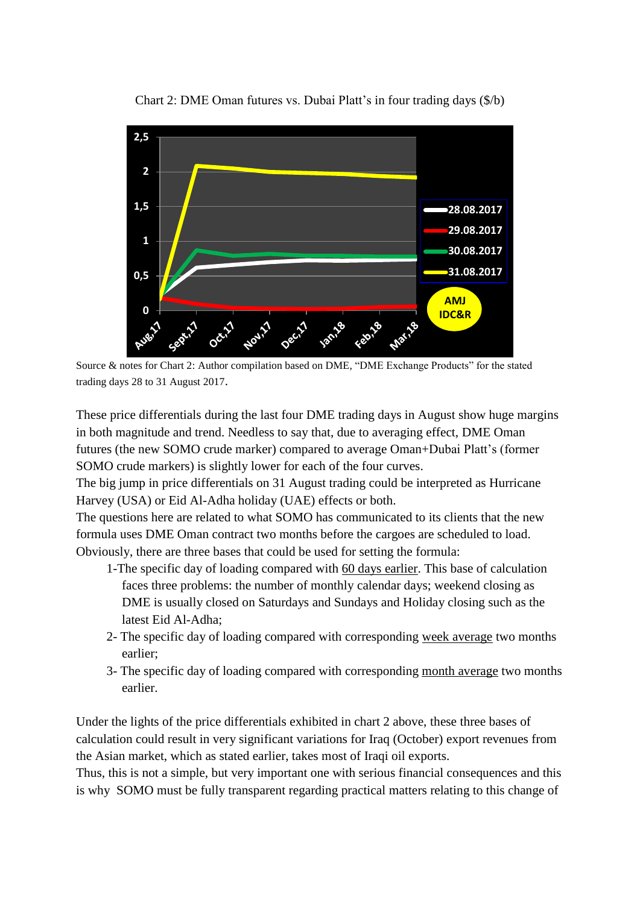

Chart 2: DME Oman futures vs. Dubai Platt's in four trading days (\$/b)

Source & notes for Chart 2: Author compilation based on DME, "DME Exchange Products" for the stated trading days 28 to 31 August 2017.

These price differentials during the last four DME trading days in August show huge margins in both magnitude and trend. Needless to say that, due to averaging effect, DME Oman futures (the new SOMO crude marker) compared to average Oman+Dubai Platt's (former SOMO crude markers) is slightly lower for each of the four curves.

The big jump in price differentials on 31 August trading could be interpreted as Hurricane Harvey (USA) or Eid Al-Adha holiday (UAE) effects or both.

The questions here are related to what SOMO has communicated to its clients that the new formula uses DME Oman contract two months before the cargoes are scheduled to load. Obviously, there are three bases that could be used for setting the formula:

- 1-The specific day of loading compared with 60 days earlier. This base of calculation faces three problems: the number of monthly calendar days; weekend closing as DME is usually closed on Saturdays and Sundays and Holiday closing such as the latest Eid Al-Adha;
- 2- The specific day of loading compared with corresponding week average two months earlier;
- 3- The specific day of loading compared with corresponding month average two months earlier.

Under the lights of the price differentials exhibited in chart 2 above, these three bases of calculation could result in very significant variations for Iraq (October) export revenues from the Asian market, which as stated earlier, takes most of Iraqi oil exports.

Thus, this is not a simple, but very important one with serious financial consequences and this is why SOMO must be fully transparent regarding practical matters relating to this change of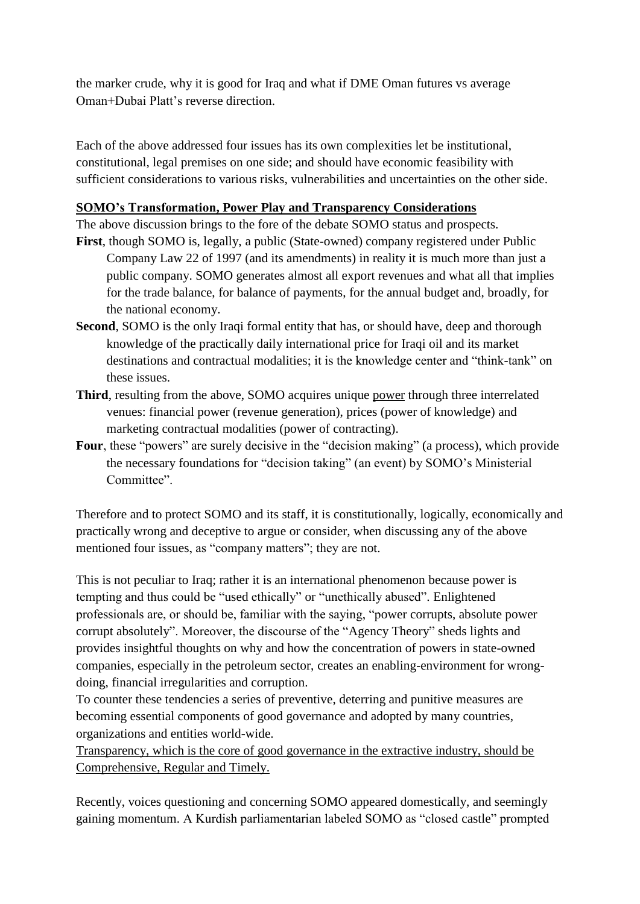the marker crude, why it is good for Iraq and what if DME Oman futures vs average Oman+Dubai Platt's reverse direction.

Each of the above addressed four issues has its own complexities let be institutional, constitutional, legal premises on one side; and should have economic feasibility with sufficient considerations to various risks, vulnerabilities and uncertainties on the other side.

### **SOMO's Transformation, Power Play and Transparency Considerations**

The above discussion brings to the fore of the debate SOMO status and prospects. **First**, though SOMO is, legally, a public (State-owned) company registered under Public

- Company Law 22 of 1997 (and its amendments) in reality it is much more than just a public company. SOMO generates almost all export revenues and what all that implies for the trade balance, for balance of payments, for the annual budget and, broadly, for the national economy.
- **Second**, SOMO is the only Iraqi formal entity that has, or should have, deep and thorough knowledge of the practically daily international price for Iraqi oil and its market destinations and contractual modalities; it is the knowledge center and "think-tank" on these issues.
- **Third**, resulting from the above, SOMO acquires unique power through three interrelated venues: financial power (revenue generation), prices (power of knowledge) and marketing contractual modalities (power of contracting).
- Four, these "powers" are surely decisive in the "decision making" (a process), which provide the necessary foundations for "decision taking" (an event) by SOMO's Ministerial Committee".

Therefore and to protect SOMO and its staff, it is constitutionally, logically, economically and practically wrong and deceptive to argue or consider, when discussing any of the above mentioned four issues, as "company matters"; they are not.

This is not peculiar to Iraq; rather it is an international phenomenon because power is tempting and thus could be "used ethically" or "unethically abused". Enlightened professionals are, or should be, familiar with the saying, "power corrupts, absolute power corrupt absolutely". Moreover, the discourse of the "Agency Theory" sheds lights and provides insightful thoughts on why and how the concentration of powers in state-owned companies, especially in the petroleum sector, creates an enabling-environment for wrongdoing, financial irregularities and corruption.

To counter these tendencies a series of preventive, deterring and punitive measures are becoming essential components of good governance and adopted by many countries, organizations and entities world-wide.

Transparency, which is the core of good governance in the extractive industry, should be Comprehensive, Regular and Timely.

Recently, voices questioning and concerning SOMO appeared domestically, and seemingly gaining momentum. A Kurdish parliamentarian labeled SOMO as "closed castle" prompted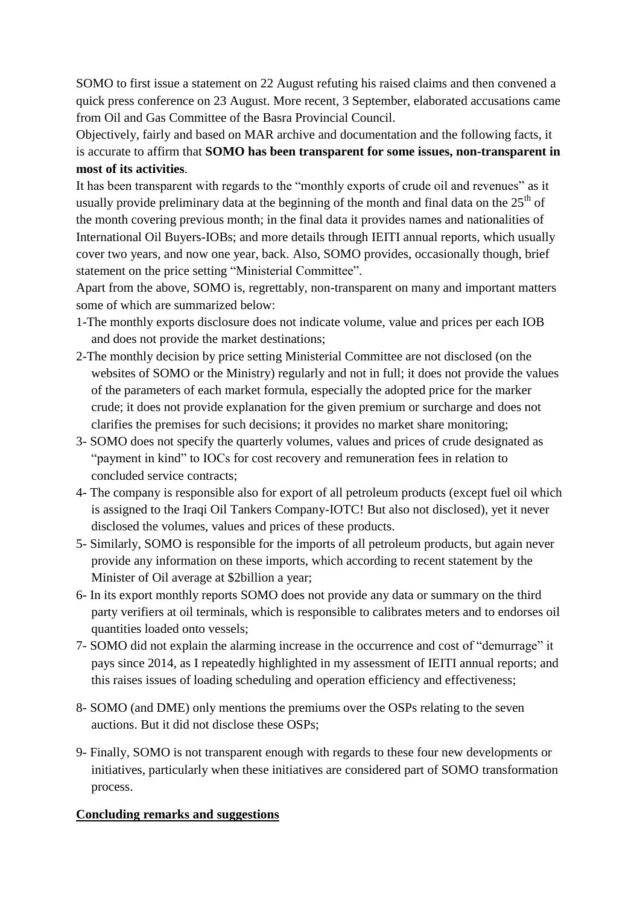SOMO to first issue a statement on 22 August refuting his raised claims and then convened a quick press conference on 23 August. More recent, 3 September, elaborated accusations came from Oil and Gas Committee of the Basra Provincial Council.

Objectively, fairly and based on MAR archive and documentation and the following facts, it is accurate to affirm that **SOMO has been transparent for some issues, non-transparent in most of its activities**.

It has been transparent with regards to the "monthly exports of crude oil and revenues" as it usually provide preliminary data at the beginning of the month and final data on the  $25<sup>th</sup>$  of the month covering previous month; in the final data it provides names and nationalities of International Oil Buyers-IOBs; and more details through IEITI annual reports, which usually cover two years, and now one year, back. Also, SOMO provides, occasionally though, brief statement on the price setting "Ministerial Committee".

Apart from the above, SOMO is, regrettably, non-transparent on many and important matters some of which are summarized below:

- 1-The monthly exports disclosure does not indicate volume, value and prices per each IOB and does not provide the market destinations;
- 2-The monthly decision by price setting Ministerial Committee are not disclosed (on the websites of SOMO or the Ministry) regularly and not in full; it does not provide the values of the parameters of each market formula, especially the adopted price for the marker crude; it does not provide explanation for the given premium or surcharge and does not clarifies the premises for such decisions; it provides no market share monitoring;
- 3- SOMO does not specify the quarterly volumes, values and prices of crude designated as "payment in kind" to IOCs for cost recovery and remuneration fees in relation to concluded service contracts;
- 4- The company is responsible also for export of all petroleum products (except fuel oil which is assigned to the Iraqi Oil Tankers Company-IOTC! But also not disclosed), yet it never disclosed the volumes, values and prices of these products.
- 5- Similarly, SOMO is responsible for the imports of all petroleum products, but again never provide any information on these imports, which according to recent statement by the Minister of Oil average at \$2billion a year;
- 6- In its export monthly reports SOMO does not provide any data or summary on the third party verifiers at oil terminals, which is responsible to calibrates meters and to endorses oil quantities loaded onto vessels;
- 7- SOMO did not explain the alarming increase in the occurrence and cost of "demurrage" it pays since 2014, as I repeatedly highlighted in my assessment of IEITI annual reports; and this raises issues of loading scheduling and operation efficiency and effectiveness;
- 8- SOMO (and DME) only mentions the premiums over the OSPs relating to the seven auctions. But it did not disclose these OSPs;
- 9- Finally, SOMO is not transparent enough with regards to these four new developments or initiatives, particularly when these initiatives are considered part of SOMO transformation process.

#### **Concluding remarks and suggestions**